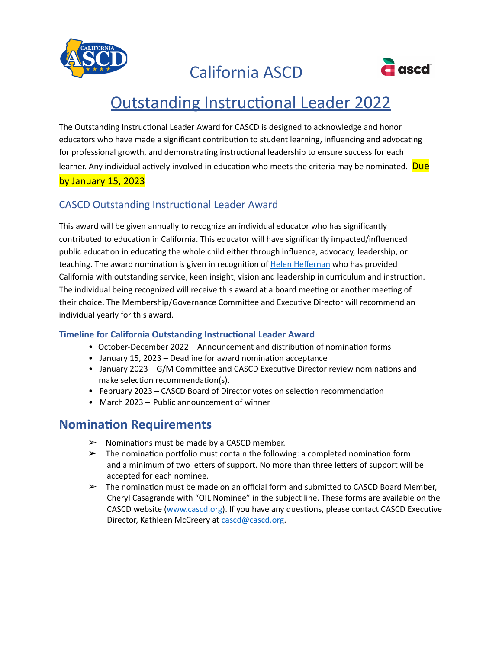

California ASCD



## **Outstanding Instructional Leader 2022**

The Outstanding Instructional Leader Award for CASCD is designed to acknowledge and honor educators who have made a significant contribution to student learning, influencing and advocating for professional growth, and demonstrating instructional leadership to ensure success for each learner. Any individual actively involved in education who meets the criteria may be nominated. Due by January 15, 2023

### CASCD Outstanding Instructional Leader Award

This award will be given annually to recognize an individual educator who has significantly contributed to education in California. This educator will have significantly impacted/influenced public education in educating the whole child either through influence, advocacy, leadership, or teaching. The award nomination is given in recognition of Helen [Heffernan](https://books.google.com/books?id=XRLIAAAAQBAJ&lpg=PA17&ots=xQr_rS_6fp&dq=helen%20heffernan%20famous%20women&pg=PA17%23v%3Donepage&q=helen%20heffernan%20famous%20women&f=false) who has provided California with outstanding service, keen insight, vision and leadership in curriculum and instruction. The individual being recognized will receive this award at a board meeting or another meeting of their choice. The Membership/Governance Committee and Executive Director will recommend an individual yearly for this award.

#### **Timeline for California Outstanding Instructional Leader Award**

- October-December 2022 Announcement and distribution of nomination forms
- January 15, 2023 Deadline for award nomination acceptance
- January 2023 G/M Committee and CASCD Executive Director review nominations and make selection recommendation(s).
- February 2023 CASCD Board of Director votes on selection recommendation
- March 2023 Public announcement of winner

## **Nomination Requirements**

- $\triangleright$  Nominations must be made by a CASCD member.
- $\triangleright$  The nomination portfolio must contain the following: a completed nomination form and a minimum of two letters of support. No more than three letters of support will be accepted for each nominee.
- $\triangleright$  The nomination must be made on an official form and submitted to CASCD Board Member, Cheryl Casagrande with "OIL Nominee" in the subject line. These forms are available on the CASCD website [\(www.cascd.org\)](http://www.cascd.org/). If you have any questions, please contact CASCD Executive Director, Kathleen McCreery at cascd@cascd.org.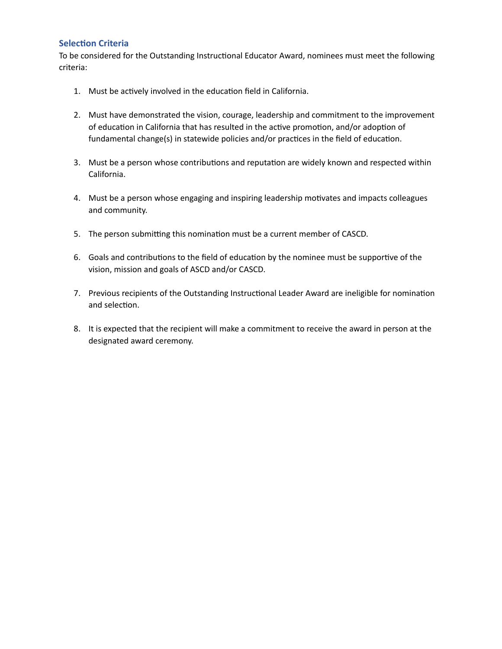#### **Selection Criteria**

To be considered for the Outstanding Instructional Educator Award, nominees must meet the following criteria:

- 1. Must be actively involved in the education field in California.
- 2. Must have demonstrated the vision, courage, leadership and commitment to the improvement of education in California that has resulted in the active promotion, and/or adoption of fundamental change(s) in statewide policies and/or practices in the field of education.
- 3. Must be a person whose contributions and reputation are widely known and respected within California.
- 4. Must be a person whose engaging and inspiring leadership motivates and impacts colleagues and community.
- 5. The person submitting this nomination must be a current member of CASCD.
- 6. Goals and contributions to the field of education by the nominee must be supportive of the vision, mission and goals of ASCD and/or CASCD.
- 7. Previous recipients of the Outstanding Instructional Leader Award are ineligible for nomination and selection.
- 8. It is expected that the recipient will make a commitment to receive the award in person at the designated award ceremony.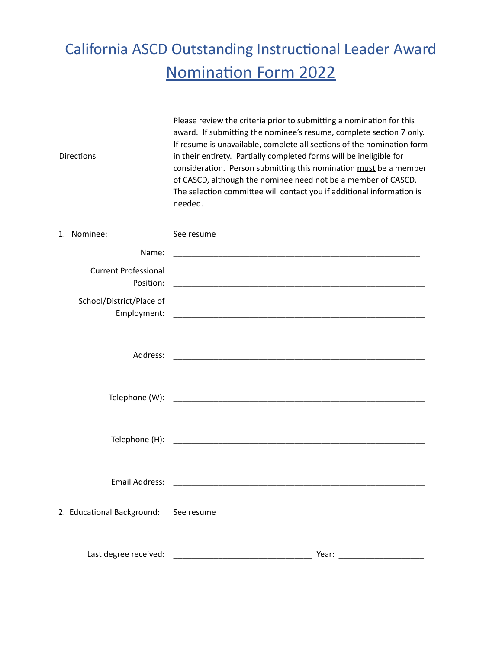# California ASCD Outstanding Instructional Leader Award **Nomination Form 2022**

| <b>Directions</b>                        | Please review the criteria prior to submitting a nomination for this<br>award. If submitting the nominee's resume, complete section 7 only.<br>If resume is unavailable, complete all sections of the nomination form<br>in their entirety. Partially completed forms will be ineligible for<br>consideration. Person submitting this nomination must be a member<br>of CASCD, although the nominee need not be a member of CASCD.<br>The selection committee will contact you if additional information is<br>needed. |  |
|------------------------------------------|------------------------------------------------------------------------------------------------------------------------------------------------------------------------------------------------------------------------------------------------------------------------------------------------------------------------------------------------------------------------------------------------------------------------------------------------------------------------------------------------------------------------|--|
| 1. Nominee:                              | See resume                                                                                                                                                                                                                                                                                                                                                                                                                                                                                                             |  |
| Name:                                    |                                                                                                                                                                                                                                                                                                                                                                                                                                                                                                                        |  |
| <b>Current Professional</b><br>Position: |                                                                                                                                                                                                                                                                                                                                                                                                                                                                                                                        |  |
| School/District/Place of<br>Employment:  |                                                                                                                                                                                                                                                                                                                                                                                                                                                                                                                        |  |
| Address:                                 | <u> 1989 - Johann Barbara, martxa alemaniar a</u>                                                                                                                                                                                                                                                                                                                                                                                                                                                                      |  |
|                                          | Telephone (W): Telephone and the contract of the contract of the contract of the contract of the contract of the contract of the contract of the contract of the contract of the contract of the contract of the contract of t                                                                                                                                                                                                                                                                                         |  |
|                                          | Telephone (H): Telephone (H):                                                                                                                                                                                                                                                                                                                                                                                                                                                                                          |  |
| <b>Email Address:</b>                    |                                                                                                                                                                                                                                                                                                                                                                                                                                                                                                                        |  |
| 2. Educational Background: See resume    |                                                                                                                                                                                                                                                                                                                                                                                                                                                                                                                        |  |
| Last degree received:                    |                                                                                                                                                                                                                                                                                                                                                                                                                                                                                                                        |  |